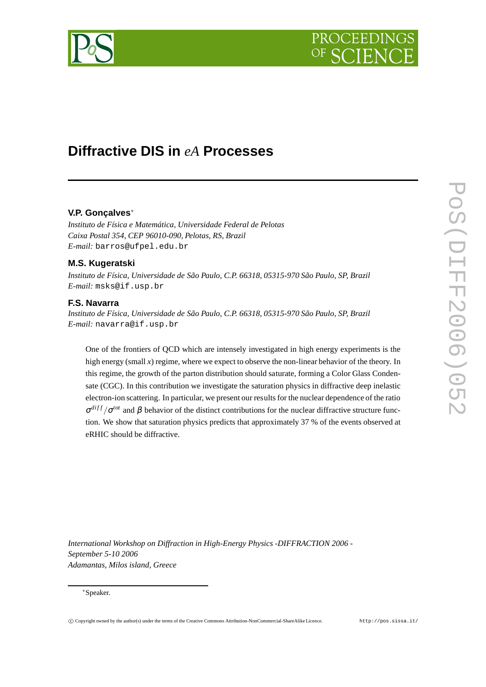# PROCEEDIN

## **Diffractive DIS in** *eA* **Processes**

### **V.P. Gonçalves**<sup>∗</sup>

*Instituto de Física e Matemática, Universidade Federal de Pelotas Caixa Postal 354, CEP 96010-090, Pelotas, RS, Brazil E-mail:* barros@ufpel.edu.br

### **M.S. Kugeratski**

*Instituto de Física, Universidade de São Paulo, C.P. 66318, 05315-970 São Paulo, SP, Brazil E-mail:* msks@if.usp.br

#### **F.S. Navarra**

*Instituto de Física, Universidade de São Paulo, C.P. 66318, 05315-970 São Paulo, SP, Brazil E-mail:* navarra@if.usp.br

One of the frontiers of QCD which are intensely investigated in high energy experiments is the high energy (small *x*) regime, where we expect to observe the non-linear behavior of the theory. In this regime, the growth of the parton distribution should saturate, forming a Color Glass Condensate (CGC). In this contribution we investigate the saturation physics in diffractive deep inelastic electron-ion scattering. In particular, we present our results for the nuclear dependence of the ratio  $\sigma^{diff}/\sigma^{tot}$  and  $\beta$  behavior of the distinct contributions for the nuclear diffractive structure function. We show that saturation physics predicts that approximately 37 % of the events observed at eRHIC should be diffractive.

*International Workshop on Diffraction in High-Energy Physics -DIFFRACTION 2006 - September 5-10 2006 Adamantas, Milos island, Greece*

#### <sup>∗</sup>Speaker.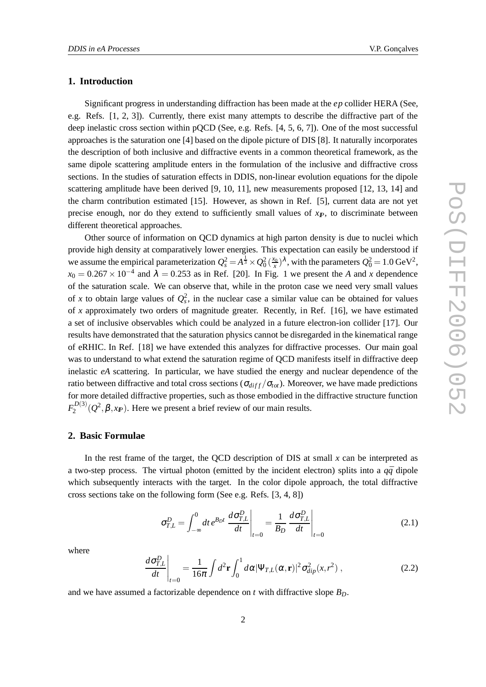#### **1. Introduction**

Significant progress in understanding diffraction has been made at the *ep* collider HERA (See, e.g. Refs. [1, 2, 3]). Currently, there exist many attempts to describe the diffractive part of the deep inelastic cross section within pQCD (See, e.g. Refs. [4, 5, 6, 7]). One of the most successful approaches is the saturation one [4] based on the dipole picture of DIS [8]. It naturally incorporates the description of both inclusive and diffractive events in a common theoretical framework, as the same dipole scattering amplitude enters in the formulation of the inclusive and diffractive cross sections. In the studies of saturation effects in DDIS, non-linear evolution equations for the dipole scattering amplitude have been derived [9, 10, 11], new measurements proposed [12, 13, 14] and the charm contribution estimated [15]. However, as shown in Ref. [5], current data are not yet precise enough, nor do they extend to sufficiently small values of  $x<sub>F</sub>$ , to discriminate between different theoretical approaches.

Other source of information on QCD dynamics at high parton density is due to nuclei which provide high density at comparatively lower energies. This expectation can easily be understood if we assume the empirical parameterization  $Q_s^2 = A^{\frac{1}{3}} \times Q_0^2 (\frac{x_0}{x})^{\lambda}$ , with the parameters  $Q_0^2 = 1.0 \text{ GeV}^2$ ,  $x_0 = 0.267 \times 10^{-4}$  and  $\lambda = 0.253$  as in Ref. [20]. In Fig. 1 we present the *A* and *x* dependence of the saturation scale. We can observe that, while in the proton case we need very small values of *x* to obtain large values of  $Q_s^2$ , in the nuclear case a similar value can be obtained for values of *x* approximately two orders of magnitude greater. Recently, in Ref. [16], we have estimated a set of inclusive observables which could be analyzed in a future electron-ion collider [17]. Our results have demonstrated that the saturation physics cannot be disregarded in the kinematical range of eRHIC. In Ref. [18] we have extended this analyzes for diffractive processes. Our main goal was to understand to what extend the saturation regime of QCD manifests itself in diffractive deep inelastic *eA* scattering. In particular, we have studied the energy and nuclear dependence of the ratio between diffractive and total cross sections ( $\sigma_{diff}/\sigma_{tot}$ ). Moreover, we have made predictions for more detailed diffractive properties, such as those embodied in the diffractive structure function  $F_2^{D(3)}$  $\mathcal{L}_2^{(0)}(Q^2, \beta, x_F)$ . Here we present a brief review of our main results.

#### **2. Basic Formulae**

In the rest frame of the target, the QCD description of DIS at small *x* can be interpreted as a two-step process. The virtual photon (emitted by the incident electron) splits into a  $q\bar{q}$  dipole which subsequently interacts with the target. In the color dipole approach, the total diffractive cross sections take on the following form (See e.g. Refs. [3, 4, 8])

$$
\sigma_{T,L}^D = \int_{-\infty}^0 dt \, e^{B_D t} \left. \frac{d\sigma_{T,L}^D}{dt} \right|_{t=0} = \frac{1}{B_D} \left. \frac{d\sigma_{T,L}^D}{dt} \right|_{t=0} \tag{2.1}
$$

where

$$
\left. \frac{d\sigma_{T,L}^D}{dt} \right|_{t=0} = \frac{1}{16\pi} \int d^2 \mathbf{r} \int_0^1 d\alpha |\Psi_{T,L}(\alpha, \mathbf{r})|^2 \sigma_{dip}^2(x, r^2) , \qquad (2.2)
$$

and we have assumed a factorizable dependence on  $t$  with diffractive slope  $B_D$ .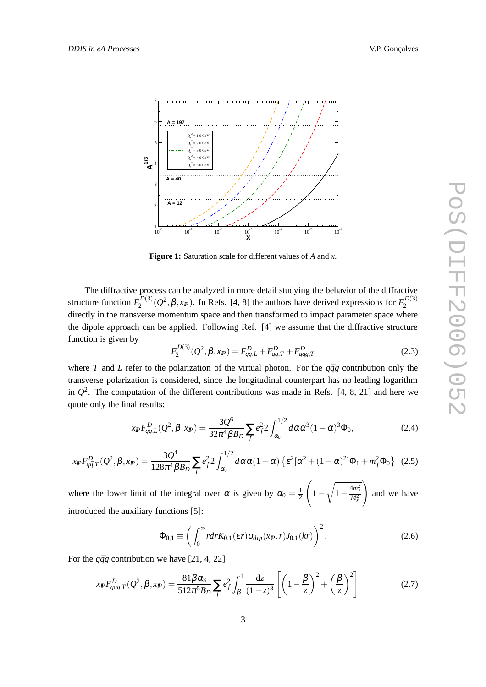

**Figure 1:** Saturation scale for different values of *A* and *x*.

The diffractive process can be analyzed in more detail studying the behavior of the diffractive structure function  $F_2^{D(3)}$  $\mathcal{L}_2^{(2)}(\mathcal{Q}^2, \beta, x_F)$ . In Refs. [4, 8] the authors have derived expressions for  $F_2^{(2)}$ 2 directly in the transverse momentum space and then transformed to impact parameter space where the dipole approach can be applied. Following Ref. [4] we assume that the diffractive structure function is given by

$$
F_2^{D(3)}(Q^2, \beta, x_F) = F_{q\bar{q},L}^D + F_{q\bar{q},T}^D + F_{q\bar{q}g,T}^D
$$
\n(2.3)

where *T* and *L* refer to the polarization of the virtual photon. For the  $q\bar{q}g$  contribution only the transverse polarization is considered, since the longitudinal counterpart has no leading logarithm in  $Q^2$ . The computation of the different contributions was made in Refs. [4, 8, 21] and here we quote only the final results:

$$
x_{I\!\!P} F_{q\bar{q},L}^D(Q^2, \beta, x_{I\!\!P}) = \frac{3Q^6}{32\pi^4 \beta B_D} \sum_f e_f^2 2 \int_{\alpha_0}^{1/2} d\alpha \alpha^3 (1-\alpha)^3 \Phi_0,
$$
 (2.4)

$$
x_{I\!\!P} F_{q\bar{q},T}^D(Q^2, \beta, x_{I\!\!P}) = \frac{3Q^4}{128\pi^4 \beta B_D} \sum_f e_f^2 2 \int_{\alpha_0}^{1/2} d\alpha \alpha (1-\alpha) \left\{ \varepsilon^2 [\alpha^2 + (1-\alpha)^2] \Phi_1 + m_f^2 \Phi_0 \right\} (2.5)
$$

where the lower limit of the integral over  $\alpha$  is given by  $\alpha_0 = \frac{1}{2}$ 2  $\sqrt{ }$ 1− <sup>1</sup>  $1-\frac{4m_f^2}{M_X^2}$  $\setminus$ and we have introduced the auxiliary functions [5]:

$$
\Phi_{0,1} \equiv \left( \int_0^\infty r dr K_{0,1}(\varepsilon r) \sigma_{dip}(x_{I\!\!P}, r) J_{0,1}(kr) \right)^2.
$$
 (2.6)

For the  $q\bar{q}g$  contribution we have [21, 4, 22]

$$
x_{I\!\!P} F^D_{q\bar{q}g,T}(Q^2, \beta, x_{I\!\!P}) = \frac{81\beta\alpha_S}{512\pi^5 B_D} \sum_f e_f^2 \int_\beta^1 \frac{\mathrm{d}z}{(1-z)^3} \left[ \left( 1 - \frac{\beta}{z} \right)^2 + \left( \frac{\beta}{z} \right)^2 \right] \tag{2.7}
$$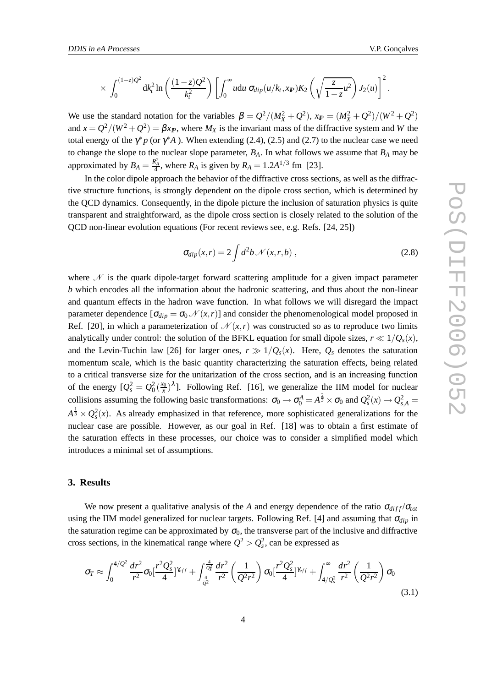$$
\times \int_0^{(1-z)Q^2} dk_t^2 \ln \left( \frac{(1-z)Q^2}{k_t^2} \right) \left[ \int_0^{\infty} u du \sigma_{dip}(u/k_t,x_{I\!\!P}) K_2 \left( \sqrt{\frac{z}{1-z}u^2} \right) J_2(u) \right]^2.
$$

We use the standard notation for the variables  $\beta = Q^2/(M_X^2 + Q^2)$ ,  $x_F = (M_X^2 + Q^2)/(W^2 + Q^2)$ and  $x = Q^2/(W^2 + Q^2) = \beta x_F$ , where  $M_X$  is the invariant mass of the diffractive system and *W* the total energy of the  $\gamma^* p$  (or  $\gamma^* A$ ). When extending (2.4), (2.5) and (2.7) to the nuclear case we need to change the slope to the nuclear slope parameter,  $B_A$ . In what follows we assume that  $B_A$  may be approximated by  $B_A = \frac{R_A^2}{4}$ , where  $R_A$  is given by  $R_A = 1.2A^{1/3}$  fm [23].

In the color dipole approach the behavior of the diffractive cross sections, as well as the diffractive structure functions, is strongly dependent on the dipole cross section, which is determined by the QCD dynamics. Consequently, in the dipole picture the inclusion of saturation physics is quite transparent and straightforward, as the dipole cross section is closely related to the solution of the QCD non-linear evolution equations (For recent reviews see, e.g. Refs. [24, 25])

$$
\sigma_{dip}(x,r) = 2 \int d^2b \mathcal{N}(x,r,b) , \qquad (2.8)
$$

where  $\mathcal N$  is the quark dipole-target forward scattering amplitude for a given impact parameter *b* which encodes all the information about the hadronic scattering, and thus about the non-linear and quantum effects in the hadron wave function. In what follows we will disregard the impact parameter dependence  $[\sigma_{dip} = \sigma_0 \mathcal{N}(x, r)]$  and consider the phenomenological model proposed in Ref. [20], in which a parameterization of  $\mathcal{N}(x,r)$  was constructed so as to reproduce two limits analytically under control: the solution of the BFKL equation for small dipole sizes,  $r \ll 1/Q_s(x)$ , and the Levin-Tuchin law [26] for larger ones,  $r \gg 1/Q_s(x)$ . Here,  $Q_s$  denotes the saturation momentum scale, which is the basic quantity characterizing the saturation effects, being related to a critical transverse size for the unitarization of the cross section, and is an increasing function of the energy  $[Q_s^2 = Q_0^2(\frac{x_0}{x})^{\lambda}]$ . Following Ref. [16], we generalize the IIM model for nuclear collisions assuming the following basic transformations:  $\sigma_0 \to \sigma_0^A = A^{\frac{2}{3}} \times \sigma_0$  and  $Q_s^2(x) \to Q_{s,A}^2 =$  $A^{\frac{1}{3}} \times Q_s^2(x)$ . As already emphasized in that reference, more sophisticated generalizations for the nuclear case are possible. However, as our goal in Ref. [18] was to obtain a first estimate of the saturation effects in these processes, our choice was to consider a simplified model which introduces a minimal set of assumptions.

#### **3. Results**

We now present a qualitative analysis of the *A* and energy dependence of the ratio  $\sigma_{diff}/\sigma_{tot}$ using the IIM model generalized for nuclear targets. Following Ref. [4] and assuming that <sup>σ</sup>*dip* in the saturation regime can be approximated by  $\sigma_0$ , the transverse part of the inclusive and diffractive cross sections, in the kinematical range where  $Q^2 > Q_s^2$ , can be expressed as

$$
\sigma_T \approx \int_0^{4/Q^2} \frac{dr^2}{r^2} \sigma_0 \left[ \frac{r^2 Q_s^2}{4} \right]^{k_{eff}} + \int_{\frac{4}{Q^2}}^{\frac{4}{Q^2}} \frac{dr^2}{r^2} \left( \frac{1}{Q^2 r^2} \right) \sigma_0 \left[ \frac{r^2 Q_s^2}{4} \right]^{k_{eff}} + \int_{4/Q_s^2}^{\infty} \frac{dr^2}{r^2} \left( \frac{1}{Q^2 r^2} \right) \sigma_0 \tag{3.1}
$$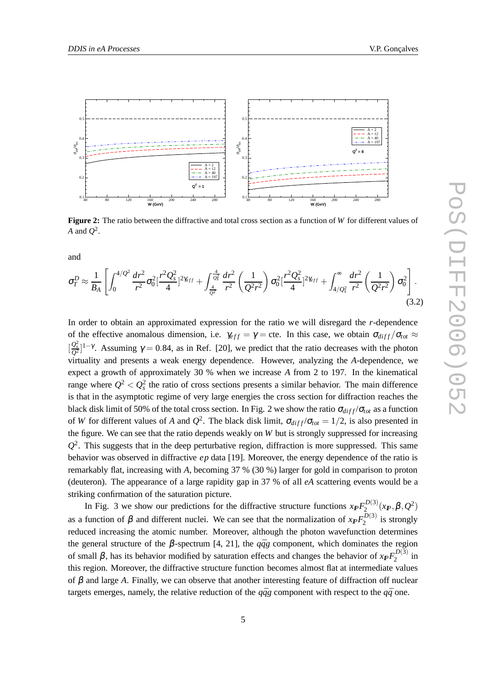

**Figure 2:** The ratio between the diffractive and total cross section as a function of *W* for different values of *A* and  $Q^2$ .

and

$$
\sigma_T^D \approx \frac{1}{B_A} \left[ \int_0^{4/Q^2} \frac{dr^2}{r^2} \sigma_0^2 \left[ \frac{r^2 Q_s^2}{4} \right]^{2\gamma_{eff}} + \int_{\frac{4}{Q^2}}^{\frac{4}{Q^2}} \frac{dr^2}{r^2} \left( \frac{1}{Q^2 r^2} \right) \sigma_0^2 \left[ \frac{r^2 Q_s^2}{4} \right]^{2\gamma_{eff}} + \int_{4/Q_s^2}^{\infty} \frac{dr^2}{r^2} \left( \frac{1}{Q^2 r^2} \right) \sigma_0^2 \right].
$$
\n(3.2)

In order to obtain an approximated expression for the ratio we will disregard the *r*-dependence of the effective anomalous dimension, i.e.  $\gamma_{eff} = \gamma =$  cte. In this case, we obtain  $\sigma_{diff}/\sigma_{tot} \approx$  $\left[\frac{Q_s^2}{Q^2}\right]^{1-\gamma}$ . Assuming  $\gamma = 0.84$ , as in Ref. [20], we predict that the ratio decreases with the photon virtuality and presents a weak energy dependence. However, analyzing the *A*-dependence, we expect a growth of approximately 30 % when we increase *A* from 2 to 197. In the kinematical range where  $Q^2 < Q_s^2$  the ratio of cross sections presents a similar behavior. The main difference is that in the asymptotic regime of very large energies the cross section for diffraction reaches the black disk limit of 50% of the total cross section. In Fig. 2 we show the ratio  $\sigma_{diff}/\sigma_{tot}$  as a function of *W* for different values of *A* and  $Q^2$ . The black disk limit,  $\sigma_{diff}/\sigma_{tot} = 1/2$ , is also presented in the figure. We can see that the ratio depends weakly on *W* but is strongly suppressed for increasing  $Q<sup>2</sup>$ . This suggests that in the deep perturbative region, diffraction is more suppressed. This same behavior was observed in diffractive *ep* data [19]. Moreover, the energy dependence of the ratio is remarkably flat, increasing with *A*, becoming 37 % (30 %) larger for gold in comparison to proton (deuteron). The appearance of a large rapidity gap in 37 % of all *eA* scattering events would be a striking confirmation of the saturation picture.

In Fig. 3 we show our predictions for the diffractive structure functions  $x_{I\!\!P} F_2^{D(3)}$  $\mathcal{L}^{D(3)}_{2}(x_{I\!\!P},\beta, Q^{2})$ as a function of  $\beta$  and different nuclei. We can see that the normalization of  $x_{I\!\!P} F_2^{D(3)}$  $i^{D(3)}_2$  is strongly reduced increasing the atomic number. Moreover, although the photon wavefunction determines the general structure of the  $\beta$ -spectrum [4, 21], the  $q\bar{q}g$  component, which dominates the region of small β, has its behavior modified by saturation effects and changes the behavior of  $x_{I\!\!P}F_2^{D(3)}$  $2^{D(3)}$  in this region. Moreover, the diffractive structure function becomes almost flat at intermediate values of β and large *A*. Finally, we can observe that another interesting feature of diffraction off nuclear targets emerges, namely, the relative reduction of the  $q\bar{q}g$  component with respect to the  $q\bar{q}$  one.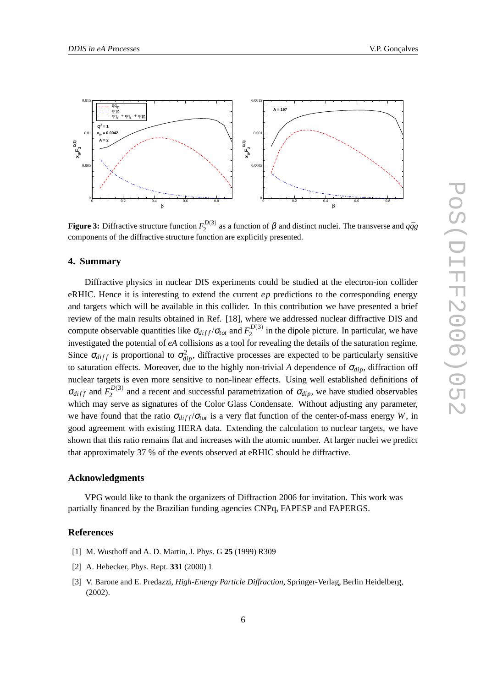

**Figure 3:** Diffractive structure function  $F_2^{D(3)}$  $2^{2(3)}$  as a function of  $\beta$  and distinct nuclei. The transverse and  $q\bar{q}g$ components of the diffractive structure function are explicitly presented.

#### **4. Summary**

Diffractive physics in nuclear DIS experiments could be studied at the electron-ion collider eRHIC. Hence it is interesting to extend the current *ep* predictions to the corresponding energy and targets which will be available in this collider. In this contribution we have presented a brief review of the main results obtained in Ref. [18], where we addressed nuclear diffractive DIS and compute observable quantities like  $\sigma_{diff}/\sigma_{tot}$  and  $F_2^{D(3)}$  $i<sub>2</sub><sup>(3)</sup>$  in the dipole picture. In particular, we have investigated the potential of *eA* collisions as a tool for revealing the details of the saturation regime. Since  $\sigma_{diff}$  is proportional to  $\sigma_{dip}^2$ , diffractive processes are expected to be particularly sensitive to saturation effects. Moreover, due to the highly non-trivial *A* dependence of  $\sigma_{div}$ , diffraction off nuclear targets is even more sensitive to non-linear effects. Using well established definitions of  $\sigma_{diff}$  and  $F_2^{D(3)}$  $2^{D(3)}$  and a recent and successful parametrization of  $\sigma_{dip}$ , we have studied observables which may serve as signatures of the Color Glass Condensate. Without adjusting any parameter, we have found that the ratio  $\sigma_{diff}/\sigma_{tot}$  is a very flat function of the center-of-mass energy *W*, in good agreement with existing HERA data. Extending the calculation to nuclear targets, we have shown that this ratio remains flat and increases with the atomic number. At larger nuclei we predict that approximately 37 % of the events observed at eRHIC should be diffractive.

#### **Acknowledgments**

VPG would like to thank the organizers of Diffraction 2006 for invitation. This work was partially financed by the Brazilian funding agencies CNPq, FAPESP and FAPERGS.

#### **References**

- [1] M. Wusthoff and A. D. Martin, J. Phys. G **25** (1999) R309
- [2] A. Hebecker, Phys. Rept. **331** (2000) 1
- [3] V. Barone and E. Predazzi, *High-Energy Particle Diffraction*, Springer-Verlag, Berlin Heidelberg, (2002).